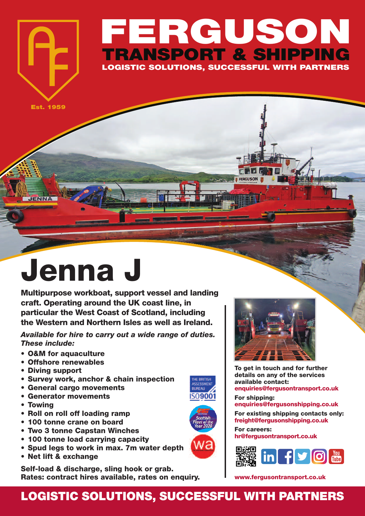## **FERGUSON TRANSPORT & SHIPPING LOGISTIC SOLUTIONS, SUCCESSFUL WITH PARTNERS**

**Est. 1959**

**JENNA** 

## **Jenna J**

**Multipurpose workboat, support vessel and landing craft. Operating around the UK coast line, in particular the West Coast of Scotland, including the Western and Northern Isles as well as Ireland.**

*Available for hire to carry out a wide range of duties. These include:*

- **• O&M for aquaculture**
- **• Offshore renewables**
- **• Diving support**
- **• Survey work, anchor & chain inspection**
- **• General cargo movements**
- **• Generator movements**
- **• Towing**
- **• Roll on roll off loading ramp**
- **• 100 tonne crane on board**
- **• Two 3 tonne Capstan Winches**
- **• 100 tonne load carrying capacity**
- **• Spud legs to work in max. 7m water depth**
- **• Net lift & exchange**

**Self-load & discharge, sling hook or grab. Rates: contract hires available, rates on enquiry.**



**To get in touch and for further details on any of the services available contact: enquiries@fergusontransport.co.uk**

**For shipping: enquiries@fergusonshipping.co.uk**

**For existing shipping contacts only: freight@fergusonshipping.co.uk**

**For careers: hr@fergusontransport.co.uk**



**www.fergusontransport.co.uk**

## **LOGISTIC SOLUTIONS, SUCCESSFUL WITH PARTNERS**

THE BRITISH<br>ASSESSMEN **BUREAU ISO9001** 

Ιć